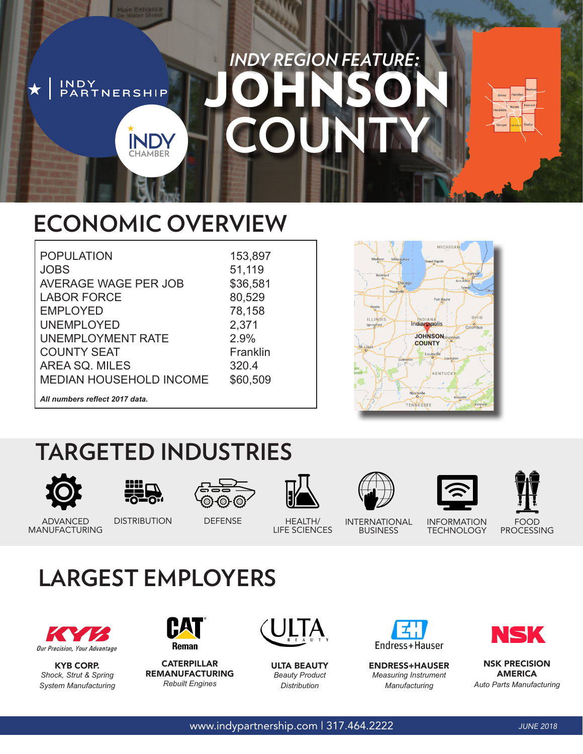### *INDY REGION FEATURE:* JOHNSON INDY<br>PARTNERSHIP **COUNTY INDY CHAMBER**

## **ECONOMIC OVERVIEW**

| <b>POPULATION</b>              |  |
|--------------------------------|--|
| <b>JOBS</b>                    |  |
| <b>AVERAGE WAGE PER JOB</b>    |  |
| <b>LABOR FORCE</b>             |  |
| <b>EMPLOYED</b>                |  |
| <b>UNEMPLOYED</b>              |  |
| UNEMPLOYMENT RATE              |  |
| <b>COUNTY SEAT</b>             |  |
| AREA SQ. MILES                 |  |
| <b>MEDIAN HOUSEHOLD INCOME</b> |  |
|                                |  |

153,897 51,119 \$36,581 80,529 78,158 2,371 2.9% Franklin 320.4 \$60,509



### *All numbers reflect 2017 data.*

## **TARGETED INDUSTRIES**

















ADVANCED DISTRIBUTION DEFENSE HEALTH/ MANUFACTURING

LIFE SCIENCES

INTERNATIONAL BUSINESS

INFORMATION **TECHNOLOGY** 

PROCESSING

## **LARGEST EMPLOYERS**



KYB CORP. *Shock, Strut & Spring System Manufacturing*



**CATERPILLAR** REMANUFACTURING *Rebuilt Engines*







ENDRESS+HAUSER *Measuring Instrument Manufacturing*



NSK PRECISION AMERICA *Auto Parts Manufacturing*

www.indypartnership.com | 317.464.2222